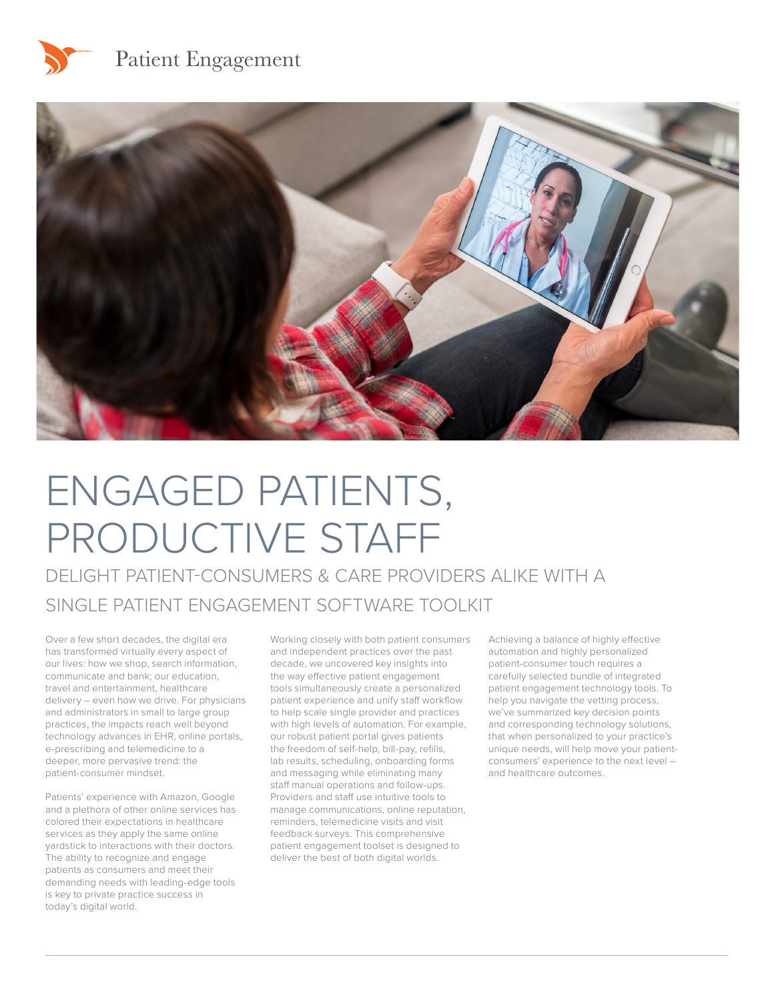



# ENGAGED PATIENTS, PRODUCTIVE STAFF

DELIGHT PATIENT-CONSUMERS & CARE PROVIDERS ALIKE WITH A SINGLE PATIENT ENGAGEMENT SOFTWARE TOOLKIT

Over a few short decades, the digital era has transformed virtually every aspect of our lives: how we shop, search information, communicate and bank; our education, travel and entertainment, healthcare delivery – even how we drive. For physicians and administrators in small to large group practices, the impacts reach well beyond technology advances in EHR, online portals, e-prescribing and telemedicine to a deeper, more pervasive trend: the patient-consumer mindset.

Patients' experience with Amazon, Google and a plethora of other online services has colored their expectations in healthcare services as they apply the same online yardstick to interactions with their doctors. The ability to recognize and engage patients as consumers and meet their demanding needs with leading-edge tools is key to private practice success in today's digital world.

Working closely with both patient consumers and independent practices over the past decade, we uncovered key insights into the way effective patient engagement tools simultaneously create a personalized patient experience and unify staff workflow to help scale single provider and practices with high levels of automation. For example, our robust patient portal gives patients the freedom of self-help, bill-pay, refills, lab results, scheduling, onboarding forms and messaging while eliminating many staff manual operations and follow-ups. Providers and staff use intuitive tools to manage communications, online reputation, reminders, telemedicine visits and visit feedback surveys. This comprehensive patient engagement toolset is designed to deliver the best of both digital worlds.

Achieving a balance of highly effective automation and highly personalized patient-consumer touch requires a carefully selected bundle of integrated patient engagement technology tools. To help you navigate the vetting process, we've summarized key decision points and corresponding technology solutions, that when personalized to your practice's unique needs, will help move your patientconsumers' experience to the next level – and healthcare outcomes.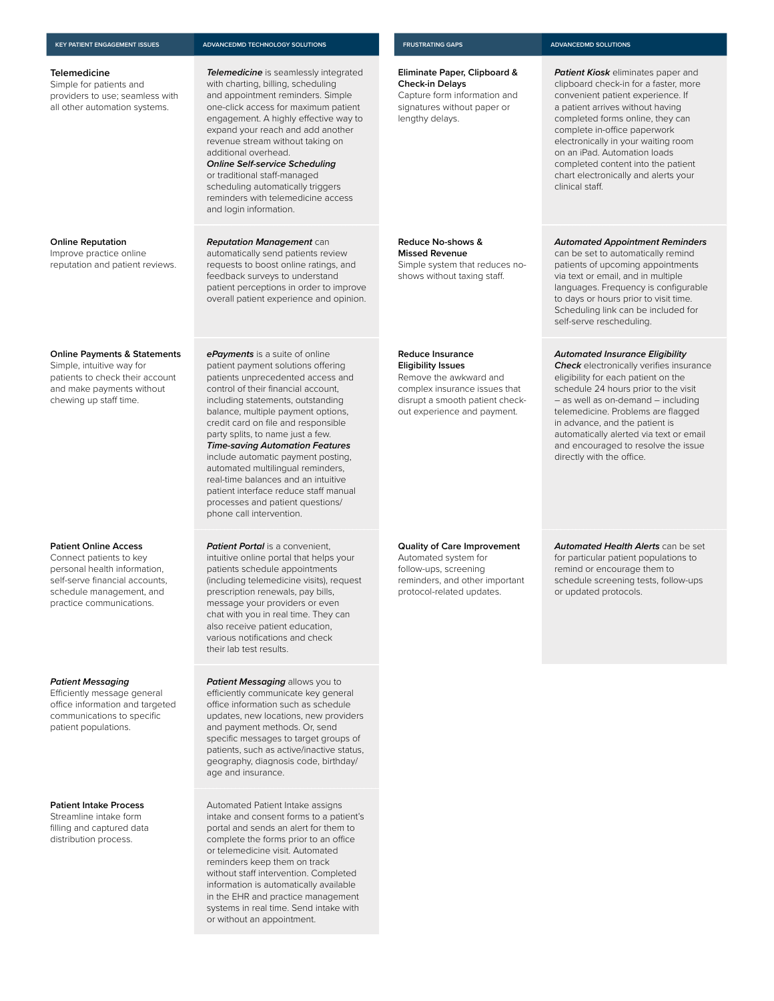#### **KEY PATIENT ENGAGEMENT ISSUES ADVANCEDMD TECHNOLOGY SOLUTIONS FRUSTRATING GAPS ADVANCEDMD SOLUTIONS**

#### **Telemedicine**

Simple for patients and providers to use; seamless with all other automation systems.

#### **Online Reputation**

Improve practice online reputation and patient reviews.

#### **Online Payments & Statements**

Simple, intuitive way for patients to check their account and make payments without chewing up staff time.

#### **Patient Online Access**

Connect patients to key personal health information, self-serve financial accounts, schedule management, and practice communications.

#### *Patient Messaging*

Efficiently message general office information and targeted communications to specific patient populations.

#### **Patient Intake Process**

Streamline intake form filling and captured data distribution process.

*Telemedicine* is seamlessly integrated with charting, billing, scheduling and appointment reminders. Simple one-click access for maximum patient engagement. A highly effective way to expand your reach and add another revenue stream without taking on additional overhead.

*Online Self-service Scheduling* or traditional staff-managed scheduling automatically triggers reminders with telemedicine access and login information.

*Reputation Management* can automatically send patients review requests to boost online ratings, and feedback surveys to understand patient perceptions in order to improve overall patient experience and opinion.

*ePayments* is a suite of online patient payment solutions offering patients unprecedented access and control of their financial account, including statements, outstanding balance, multiple payment options, credit card on file and responsible party splits, to name just a few. *Time-saving Automation Features*  include automatic payment posting, automated multilingual reminders, real-time balances and an intuitive patient interface reduce staff manual processes and patient questions/ phone call intervention.

#### **Patient Portal** is a convenient,

intuitive online portal that helps your patients schedule appointments (including telemedicine visits), request prescription renewals, pay bills, message your providers or even chat with you in real time. They can also receive patient education, various notifications and check their lab test results.

*Patient Messaging allows you to* efficiently communicate key general office information such as schedule updates, new locations, new providers and payment methods. Or, send specific messages to target groups of patients, such as active/inactive status, geography, diagnosis code, birthday/ age and insurance.

Automated Patient Intake assigns intake and consent forms to a patient's portal and sends an alert for them to complete the forms prior to an office or telemedicine visit. Automated reminders keep them on track without staff intervention. Completed information is automatically available in the EHR and practice management systems in real time. Send intake with or without an appointment.

#### **Eliminate Paper, Clipboard & Check-in Delays** Capture form information and

signatures without paper or lengthy delays.

*Patient Kiosk* eliminates paper and

#### *Automated Appointment Reminders*

can be set to automatically remind patients of upcoming appointments via text or email, and in multiple languages. Frequency is configurable to days or hours prior to visit time. Scheduling link can be included for self-serve rescheduling.

#### *Automated Insurance Eligibility*

*Check* electronically verifies insurance eligibility for each patient on the schedule 24 hours prior to the visit – as well as on-demand – including telemedicine. Problems are flagged in advance, and the patient is automatically alerted via text or email and encouraged to resolve the issue directly with the office.

#### **Quality of Care Improvement**

Automated system for follow-ups, screening reminders, and other important protocol-related updates.

*Automated Health Alerts* can be set for particular patient populations to remind or encourage them to schedule screening tests, follow-ups or updated protocols.

clipboard check-in for a faster, more convenient patient experience. If a patient arrives without having completed forms online, they can complete in-office paperwork electronically in your waiting room on an iPad. Automation loads completed content into the patient chart electronically and alerts your clinical staff.

## **Reduce No-shows & Missed Revenue** Simple system that reduces noshows without taxing staff. **Reduce Insurance Eligibility Issues** Remove the awkward and complex insurance issues that disrupt a smooth patient checkout experience and payment.